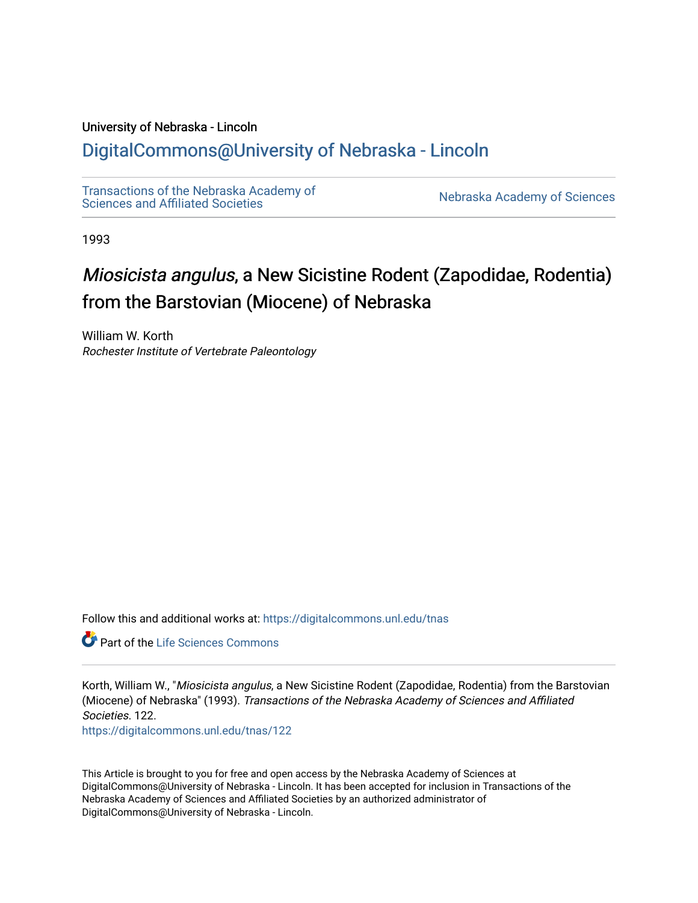#### University of Nebraska - Lincoln

## [DigitalCommons@University of Nebraska - Lincoln](https://digitalcommons.unl.edu/)

[Transactions of the Nebraska Academy of](https://digitalcommons.unl.edu/tnas)  Transactions of the Nebraska Academy of Sciences<br>Sciences and Affiliated Societies

1993

# Miosicista angulus, a New Sicistine Rodent (Zapodidae, Rodentia) from the Barstovian (Miocene) of Nebraska

William W. Korth Rochester Institute of Vertebrate Paleontology

Follow this and additional works at: [https://digitalcommons.unl.edu/tnas](https://digitalcommons.unl.edu/tnas?utm_source=digitalcommons.unl.edu%2Ftnas%2F122&utm_medium=PDF&utm_campaign=PDFCoverPages) 

**C** Part of the Life Sciences Commons

Korth, William W., "Miosicista angulus, a New Sicistine Rodent (Zapodidae, Rodentia) from the Barstovian (Miocene) of Nebraska" (1993). Transactions of the Nebraska Academy of Sciences and Affiliated Societies. 122. [https://digitalcommons.unl.edu/tnas/122](https://digitalcommons.unl.edu/tnas/122?utm_source=digitalcommons.unl.edu%2Ftnas%2F122&utm_medium=PDF&utm_campaign=PDFCoverPages) 

This Article is brought to you for free and open access by the Nebraska Academy of Sciences at DigitalCommons@University of Nebraska - Lincoln. It has been accepted for inclusion in Transactions of the Nebraska Academy of Sciences and Affiliated Societies by an authorized administrator of DigitalCommons@University of Nebraska - Lincoln.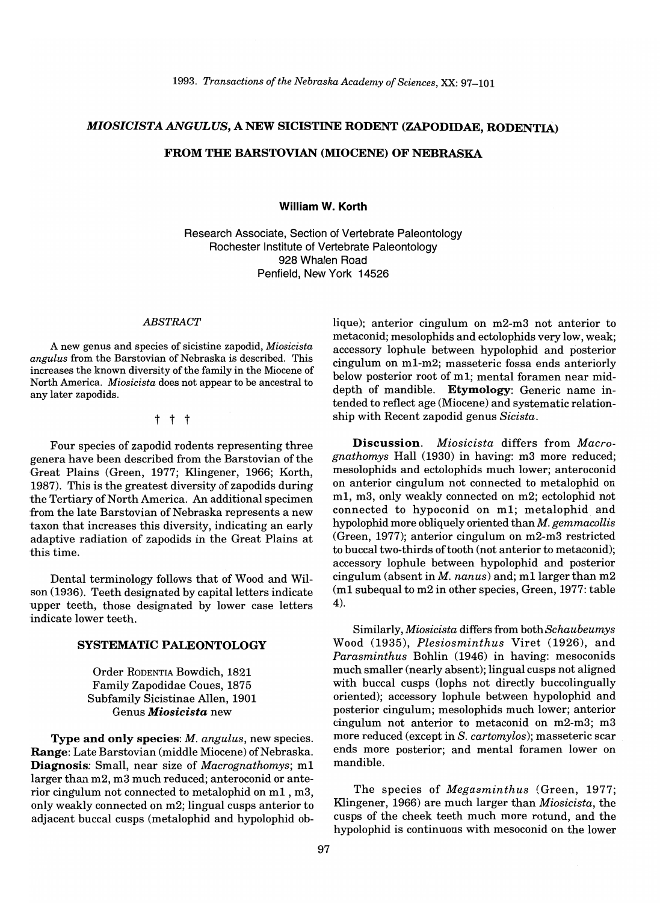### *MIOSICISTA ANGULUS,* A NEW SICISTINE RODENT (ZAPODIDAE, RODENTIA.)

#### FROM THE BARSTOVIAN (MIOCENE) OF NEBRASKA

William W. Korth

Research Associate, Section of Vertebrate Paleontology Rochester Institute of Vertebrate Paleontology 928 Whalen Road Penfield, New York 14526

#### *ABSTRACT*

A new genus and species of sicistine zapodid, *Miosicista angulus* from the Barstovian of Nebraska is described. This increases the known diversity of the family in the Miocene of North America. *Miosicista* does not appear to be ancestral to any later zapodids.

t t t

Four species of zapodid rodents representing three genera have been described from the Barstovian of the Great Plains (Green, 1977; Klingener, 1966; Korth, 1987). This is the greatest diversity of zapodids during the Tertiary of North America. An additional specimen from the late Barstovian of Nebraska represents a new taxon that increases this diversity, indicating an early adaptive radiation of zapodids in the Great Plains at this time.

Dental terminology follows that of Wood and Wilson (1936). Teeth designated by capital letters indicate upper teeth, those designated by lower case letters indicate lower teeth.

#### SYSTEMATIC PALEONTOLOGY

Order RODENTIA Bowdich, 1821 Family Zapodidae Coues, 1875 Subfamily Sicistinae Allen, 1901 Genus *Miosicista* new

Type and only species: *M. angulus,* new species. Range: Late Barstovian (middle Miocene) of Nebraska. Diagnosis: Small, near size of *Macrognathomys;* m1 larger than m2, m3 much reduced; anteroconid or anterior cingulum not connected to metalophid on  $m1$ ,  $m3$ , only weakly connected on m2; lingual cusps anterior to adjacent buccal cusps (metalophid and hypolophid oblique); anterior cingulum on m2-m3 not anterior to metaconid; mesolophids and ectolophids very low, weak; accessory lophule between hypolophid and posterior cingulum on m1-m2; masseteric fossa ends anteriorly below posterior root of m1; mental foramen near middepth of mandible. Etymology: Generic name intended to reflect age (Miocene) and systematic relationship with Recent zapodid genus *Sicista.* 

Discussion. *Miosicista* differs from *Macrognathomys* Hall (1930) in having: m3 more reduced; mesolophids and ectolophids much lower; anteroconid on anterior cingulum not connected to metalophid on m1, m3, only weakly connected on m2; ectolophid not connected to hypoconid on m1; metalophid and hypolophid more obliquely oriented than *M. gemmacollis*  (Green, 1977); anterior cingulum on m2-m3 restricted to buccal two-thirds of tooth (not anterior to metaconid); accessory lophule between hypolophid and posterior cingulum (absent in *M. nanus)* and; m1larger than m2 (m1 subequal to m2 in other species, Green, 1977: table 4).

Similarly, *Miosicista* differs from both *Schaubeumys*  Wood (1935), *Plesiosminthus* Viret (1926), and *Parasminthus* Bohlin (1946) in having: mesoconids much smaller (nearly absent); lingual cusps not aligned with buccal cusps (lophs not directly buccolingually oriented); accessory lophule between hypolophid and posterior cingulum; mesolophids much lower; anterior cingulum not anterior to metaconid on m2-m3; m3 more reduced (except in S. *cartomylos);* masseteric scar ends more posterior; and mental foramen lower on mandible.

The species of *Megasminthus* (Green, 1977; Klingener, 1966) are much larger than *Miosicista,* the cusps of the cheek teeth much more rotund, and the hypolophid is continuous with mesoconid on the lower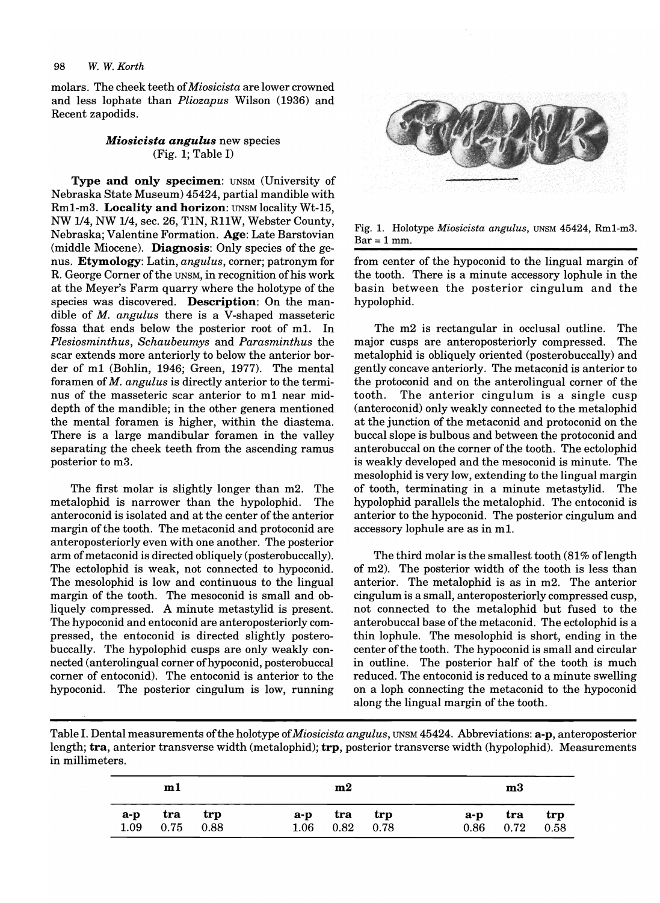molars. The cheek teeth of *Miosicista* are lower crowned and less lophate than *Pliozapus* Wilson (1936) and Recent zapodids.

#### *Miosicista angulus* new species (Fig. 1; Table I)

Type and only specimen: UNSM (University of Nebraska State Museum) 45424, partial mandible with Rm1-m3. Locality and horizon: UNSM locality Wt-15, NW 114, NW 114, sec. 26, TIN, RllW, Webster County, Nebraska; Valentine Formation. Age: Late Barstovian (middle Miocene). Diagnosis: Only species of the genus. Etymology: Latin, *angulus,* corner; patronym for R. George Corner of the UNSM, in recognition of his work at the Meyer's Farm quarry where the holotype of the species was discovered. Description: On the mandible of *M. angulus* there is a V-shaped masseteric fossa that ends below the posterior root of m1. In *Plesiosminthus, Schaubeumys* and *Parasminthus* the scar extends more anteriorly to below the anterior border of ml (Bohlin, 1946; Green, 1977). The mental foramen of *M. angulus* is directly anterior to the terminus of the masseteric scar anterior to m1 near middepth of the mandible; in the other genera mentioned the mental foramen is higher, within the diastema. There is a large mandibular foramen in the valley separating the cheek teeth from the ascending ramus posterior to m3.

The first molar is slightly longer than m2. The metalophid is narrower than the hypolophid. The anteroconid is isolated and at the center of the anterior margin of the tooth. The metaconid and protoconid are anteroposteriorly even with one another. The posterior arm of metaconid is directed obliquely (posterobuccally). The ectolophid is weak, not connected to hypoconid. The mesolophid is low and continuous to the lingual margin of the tooth. The mesoconid is small and obliquely compressed. A minute metastylid is present. The hypoconid and entoconid are anteroposteriorly compressed, the entoconid is directed slightly posterobuccally. The hypolophid cusps are only weakly connected (anterolingual corner of hypoconid, posterobuccal corner of entoconid). The entoconid is anterior to the hypoconid. The posterior cingulum is low, running



Fig. 1. Holotype *Miosicista angulus,* UNSM 45424, Rml-m3.  $Bar = 1$  mm.

from center of the hypoconid to the lingual margin of the tooth. There is a minute accessory lophule in the basin between the posterior cingulum and the hypolophid.

The m2 is rectangular in occlusal outline. The major cusps are anteroposteriorly compressed. The metalophid is obliquely oriented (posterobuccally) and gently concave anteriorly. The metaconid is anterior to the protoconid and on the anterolingual corner of the tooth. The anterior cingulum is a single cusp (anteroconid) only weakly connected to the metalophid at the junction of the metaconid and protoconid on the buccal slope is bulbous and between the protoconid and anterobuccal on the corner of the tooth. The ectolophid is weakly developed and the mesoconid is minute. The mesolophid is very low, extending to the lingual margin of tooth, terminating in a minute metastylid. The hypolophid parallels the metalophid. The entoconid is anterior to the hypoconid. The posterior cingulum and accessory lophule are as in m1.

The third molar is the smallest tooth  $(81\%$  of length of m2). The posterior width of the tooth is less than anterior. The metalophid is as in m2. The anterior cingulum is a small, anteroposteriorly compressed cusp, not connected to the metalophid but fused to the anterobuccal base of the metaconid. The ectolophid is a thin lophule. The mesolophid is short, ending in the center of the tooth. The hypoconid is small and circular in outline. The posterior half of the tooth is much reduced. The entoconid is reduced to a minute swelling on a loph connecting the metaconid to the hypoconid along the lingual margin of the tooth.

Table I. Dental measurements ofthe holotype of *Miosicista angulus,* UNSM 45424. Abbreviations: a-p, anteroposterior length; tra, anterior transverse width (metalophid); trp, posterior transverse width (hypolophid). Measurements in millimeters.

|               | m1                 |     |               | m2                 |     |       | m3                   |             |
|---------------|--------------------|-----|---------------|--------------------|-----|-------|----------------------|-------------|
| $a-p$<br>1.09 | tra<br>$0.75$ 0.88 | trp | $a-p$<br>1.06 | tra<br>$0.82$ 0.78 | trp | $a-p$ | tra<br>$0.86$ $0.72$ | trp<br>0.58 |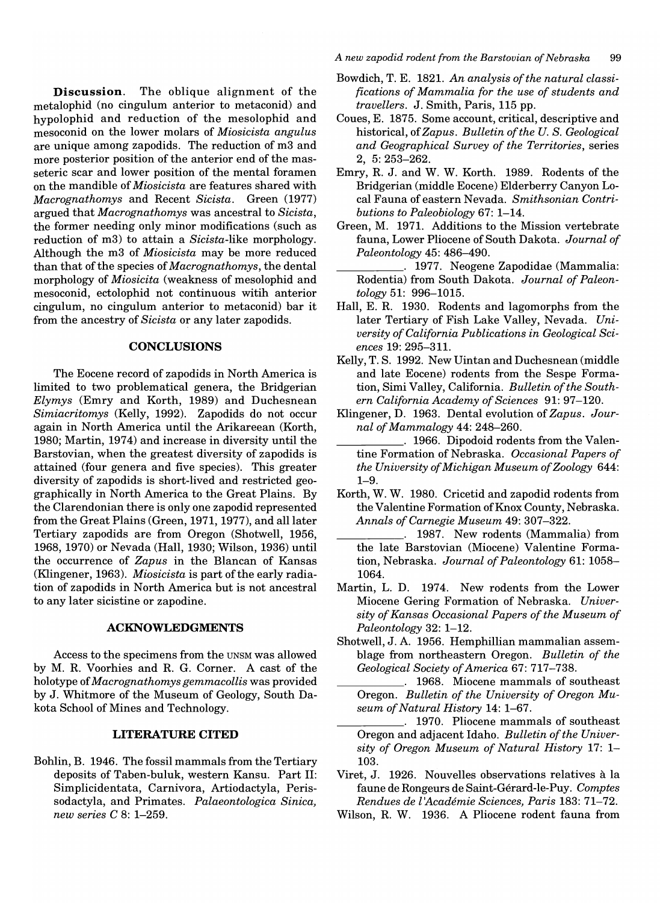**Discussion.** The oblique alignment of the metalophid (no cingulum anterior to metaconid) and hypolophid and reduction of the mesolophid and mesoconid on the lower molars of *Miosicista angulus*  are unique among zapodids. The reduction of m3 and more posterior position of the anterior end of the masseteric scar and lower position of the mental foramen on the mandible of *Miosicista* are features shared with *Macrognathomys* and Recent *Sicista.* Green (1977) argued that *Macrognathomys* was ancestral to *Sicista,*  the former needing only minor modifications (such as reduction of m3) to attain a *Sicista-like* morphology. Although the m3 of *Miosicista* may be more reduced than that of the species of *Macrognathomys,* the dental morphology of *Miosicita* (weakness of mesolophid and mesoconid, ectolophid not continuous witih anterior cingulum, no cingulum anterior to metaconid) bar it from the ancestry of *Sicista* or any later zapodids.

#### **CONCLUSIONS**

The Eocene record of zapodids in North America is limited to two problematical genera, the Bridgerian *Elymys* (Emry and Korth, 1989) and Duchesnean *Simiacritomys* (Kelly, 1992). Zapodids do not occur again in North America until the Arikareean (Korth, 1980; Martin, 1974) and increase in diversity until the Barstovian, when the greatest diversity of zapodids is attained (four genera and five species). This greater diversity of zapodids is short-lived and restricted geographically in North America to the Great Plains. By the Clarendonian there is only one zapodid represented from the Great Plains (Green, 1971, 1977), and all later Tertiary zapodids are from Oregon (Shotwell, 1956, 1968, 1970) or Nevada (Hall, 1930; Wilson, 1936) until the occurrence of *Zapus* in the Blancan of Kansas (Klingener,1963). *Miosicista* is part of the early radiation of zapodids in North America but is not ancestral to any later sicistine or zapodine.

#### **ACKNOWLEDGMENTS**

Access to the specimens from the UNSM was allowed by M. R. Voorhies and R. G. Corner. A cast of the holotype of *Macrognathomys gemmacollis* was provided by J. Whitmore of the Museum of Geology, South Dakota School of Mines and Technology.

#### **LITERATURE CITED**

Bohlin, B. 1946. The fossil mammals from the Tertiary deposits of Taben-buluk, western Kansu. Part II: Simplicidentata, Carnivora, Artiodactyla, Perissodactyla, and Primates. *Palaeontologica Sinica, new series* C 8: 1-259.

*A new zapodid rodent from the Barstovian of Nebraska 99* 

- Bowdich, T. E. 1821. *An analysis of the natural classifications of Mammalia for the use of students and travellers.* J. Smith, Paris, 115 pp.
- Coues, E. 1875. Some account, critical, descriptive and *historical,ofZapus. Bulletin of the U. S. Geological and Geographical Survey of the Territories,* series 2, 5: 253-262.
- Emry, R. J. and W. W. Korth. 1989. Rodents of the Bridgerian (middle Eocene) Elderberry Canyon Local Fauna of eastern Nevada. *Smithsonian Contributions to Paleobiology* 67: 1-14.
- Green, M. 1971. Additions to the Mission vertebrate fauna, Lower Pliocene of South Dakota. *Journal of Paleontology* 45: 486-490.
- \_\_\_\_\_ . 1977. Neogene Zapodidae (Mammalia: Rodentia) from South Dakota. *Journal of Paleontology* 51: 996-1015.
- Hall, E. R. 1930. Rodents and lagomorphs from the later Tertiary of Fish Lake Valley, Nevada. *University of California Publications in Geological Sciences* 19: 295-311.
- Kelly, T. S. 1992. New Uintan and Duchesnean (middle and late Eocene) rodents from the Sespe Formation, Simi Valley, California. *Bulletin of the Southern California Academy of Sciences* 91: 97-120.
- Klingener, D. 1963. Dental evolution of *Zapus. Journal of Mammalogy* 44: 248-260.
- \_\_\_\_\_ . 1966. Dipodoid rodents from the Valentine Formation of Nebraska. *Occasional Papers of the University of Michigan Museum of Zoology 644:*  1-9.
- Korth, W. W. 1980. Cricetid and zapodid rodents from the Valentine Formation of Knox County, Nebraska. *Annals of Carnegie Museum* 49: 307-322.
	- \_\_\_\_\_ . 1987. New rodents (Mammalia) from the late Barstovian (Miocene) Valentine Formation, Nebraska. *Journal of Paleontology* 61: 1058- 1064.
- Martin, L. D. 1974. New rodents from the Lower Miocene Gering Formation of Nebraska. *University of Kansas Occasional Papers of the Museum of Paleontology* 32: 1-12.
- Shotwell, J. A. 1956. Hemphillian mammalian assemblage from northeastern Oregon. *Bulletin of the Geological Society of America* 67: 717-738.
	- 1968. Miocene mammals of southeast Oregon. *Bulletin of the University of Oregon Museum of Natural History* 14: 1-67.
	- \_\_\_\_\_ . 1970. Pliocene mammals of southeast Oregon and adjacent Idaho. *Bulletin of the University of Oregon Museum of Natural History* 17: 1- 103.
- Viret, J. 1926. Nouvelles observations relatives a la faune de Rongeurs de Saint-Gerard-Ie-Puy. *Comptes Rendues de l'Academie Sciences, Paris* 183: 71-72.
- Wilson, R. W. 1936. A Pliocene rodent fauna from